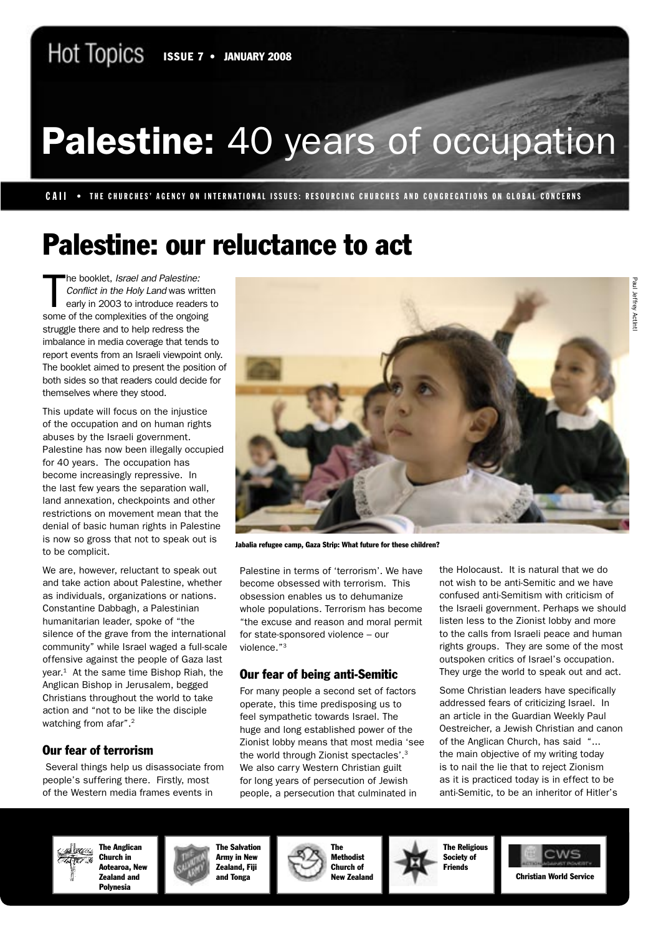# Palestine: 40 years of occupation

CAII • THE CHURCHES' AGENCY ON INTERNATIONAL ISSUES: RESOURCING CHURCHES AND CONGREGATIONS ON GLOBAL CONCERNS

## Palestine: our reluctance to act

T he booklet, Israel and Palestine: Conflict in the Holy Land was written early in 2003 to introduce readers to some of the complexities of the ongoing struggle there and to help redress the imbalance in media coverage that tends to report events from an Israeli viewpoint only. The booklet aimed to present the position of both sides so that readers could decide for themselves where they stood.

This update will focus on the injustice of the occupation and on human rights abuses by the Israeli government. Palestine has now been illegally occupied for 40 years. The occupation has become increasingly repressive. In the last few years the separation wall, land annexation, checkpoints and other restrictions on movement mean that the denial of basic human rights in Palestine is now so gross that not to speak out is to be complicit.

We are, however, reluctant to speak out and take action about Palestine, whether as individuals, organizations or nations. Constantine Dabbagh, a Palestinian humanitarian leader, spoke of "the silence of the grave from the international community" while Israel waged a full-scale offensive against the people of Gaza last year.<sup>1</sup> At the same time Bishop Riah, the Anglican Bishop in Jerusalem, begged Christians throughout the world to take action and "not to be like the disciple watching from afar".<sup>2</sup>

#### Our fear of terrorism

 Several things help us disassociate from people's suffering there. Firstly, most of the Western media frames events in



Jabalia refugee camp, Gaza Strip: What future for these children?

Palestine in terms of 'terrorism'. We have become obsessed with terrorism. This obsession enables us to dehumanize whole populations. Terrorism has become "the excuse and reason and moral permit for state-sponsored violence – our violence."3

#### Our fear of being anti-Semitic

For many people a second set of factors operate, this time predisposing us to feel sympathetic towards Israel. The huge and long established power of the Zionist lobby means that most media 'see the world through Zionist spectacles'.3 We also carry Western Christian guilt for long years of persecution of Jewish people, a persecution that culminated in

the Holocaust. It is natural that we do not wish to be anti-Semitic and we have confused anti-Semitism with criticism of the Israeli government. Perhaps we should listen less to the Zionist lobby and more to the calls from Israeli peace and human rights groups. They are some of the most outspoken critics of Israel's occupation. They urge the world to speak out and act.

Some Christian leaders have specifically addressed fears of criticizing Israel. In an article in the Guardian Weekly Paul Oestreicher, a Jewish Christian and canon of the Anglican Church, has said "... the main objective of my writing today is to nail the lie that to reject Zionism as it is practiced today is in effect to be anti-Semitic, to be an inheritor of Hitler's



The Anglican Church in Aotearoa, New Zealand and



The Methodist Church of New Zealand



The Religious Society of Friends

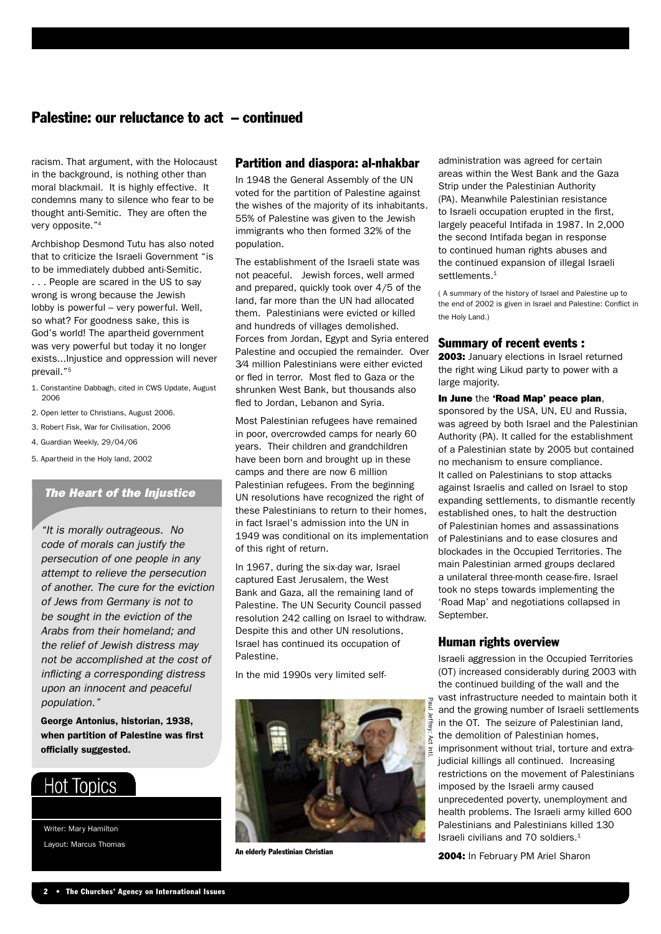#### Palestine: our reluctance to act – continued

racism. That argument, with the Holocaust in the background, is nothing other than moral blackmail. It is highly effective. It condemns many to silence who fear to be thought anti-Semitic. They are often the very opposite."4

Archbishop Desmond Tutu has also noted that to criticize the Israeli Government "is to be immediately dubbed anti-Semitic. . . . People are scared in the US to say wrong is wrong because the Jewish lobby is powerful – very powerful. Well, so what? For goodness sake, this is God's world! The apartheid government was very powerful but today it no longer exists...Injustice and oppression will never prevail."5

- 1. Constantine Dabbagh, cited in CWS Update, August 2006
- 2. Open letter to Christians, August 2006.
- 3. Robert Fisk, War for Civilisation, 2006
- 4. Guardian Weekly, 29/04/06
- 5. Apartheid in the Holy land, 2002

#### The Heart of the Injustice

"It is morally outrageous. No code of morals can justify the persecution of one people in any attempt to relieve the persecution of another. The cure for the eviction of Jews from Germany is not to be sought in the eviction of the Arabs from their homeland; and the relief of Jewish distress may not be accomplished at the cost of inflicting a corresponding distress upon an innocent and peaceful population."

George Antonius, historian, 1938, when partition of Palestine was first officially suggested.

### **Hot Topics**

Writer: Mary Hamilton Layout: Marcus Thomas

#### Partition and diaspora: al-nhakbar

In 1948 the General Assembly of the UN voted for the partition of Palestine against the wishes of the majority of its inhabitants. 55% of Palestine was given to the Jewish immigrants who then formed 32% of the population.

The establishment of the Israeli state was not peaceful. Jewish forces, well armed and prepared, quickly took over 4/5 of the land, far more than the UN had allocated them. Palestinians were evicted or killed and hundreds of villages demolished. Forces from Jordan, Egypt and Syria entered Palestine and occupied the remainder. Over 3⁄4 million Palestinians were either evicted or fled in terror. Most fled to Gaza or the shrunken West Bank, but thousands also fled to Jordan, Lebanon and Syria.

Most Palestinian refugees have remained in poor, overcrowded camps for nearly 60 years. Their children and grandchildren have been born and brought up in these camps and there are now 6 million Palestinian refugees. From the beginning UN resolutions have recognized the right of these Palestinians to return to their homes, in fact Israel's admission into the UN in 1949 was conditional on its implementation of this right of return.

In 1967, during the six-day war, Israel captured East Jerusalem, the West Bank and Gaza, all the remaining land of Palestine. The UN Security Council passed resolution 242 calling on Israel to withdraw. Despite this and other UN resolutions, Israel has continued its occupation of Palestine.

In the mid 1990s very limited self-



administration was agreed for certain areas within the West Bank and the Gaza Strip under the Palestinian Authority (PA). Meanwhile Palestinian resistance to Israeli occupation erupted in the first, largely peaceful Intifada in 1987. In 2,000 the second Intifada began in response to continued human rights abuses and the continued expansion of illegal Israeli settlements<sup>1</sup>

( A summary of the history of Israel and Palestine up to the end of 2002 is given in Israel and Palestine: Conflict in the Holy Land.)

#### Summary of recent events :

2003: January elections in Israel returned the right wing Likud party to power with a large majority.

#### In June the 'Road Map' peace plan,

sponsored by the USA, UN, EU and Russia, was agreed by both Israel and the Palestinian Authority (PA). It called for the establishment of a Palestinian state by 2005 but contained no mechanism to ensure compliance. It called on Palestinians to stop attacks against Israelis and called on Israel to stop expanding settlements, to dismantle recently established ones, to halt the destruction of Palestinian homes and assassinations of Palestinians and to ease closures and blockades in the Occupied Territories. The main Palestinian armed groups declared a unilateral three-month cease-fire. Israel took no steps towards implementing the 'Road Map' and negotiations collapsed in September.

#### Human rights overview

Israeli aggression in the Occupied Territories (OT) increased considerably during 2003 with the continued building of the wall and the vast infrastructure needed to maintain both it and the growing number of Israeli settlements in the OT. The seizure of Palestinian land, the demolition of Palestinian homes, imprisonment without trial, torture and extrajudicial killings all continued. Increasing restrictions on the movement of Palestinians imposed by the Israeli army caused unprecedented poverty, unemployment and health problems. The Israeli army killed 600 Palestinians and Palestinians killed 130 Israeli civilians and 70 soldiers.<sup>1</sup>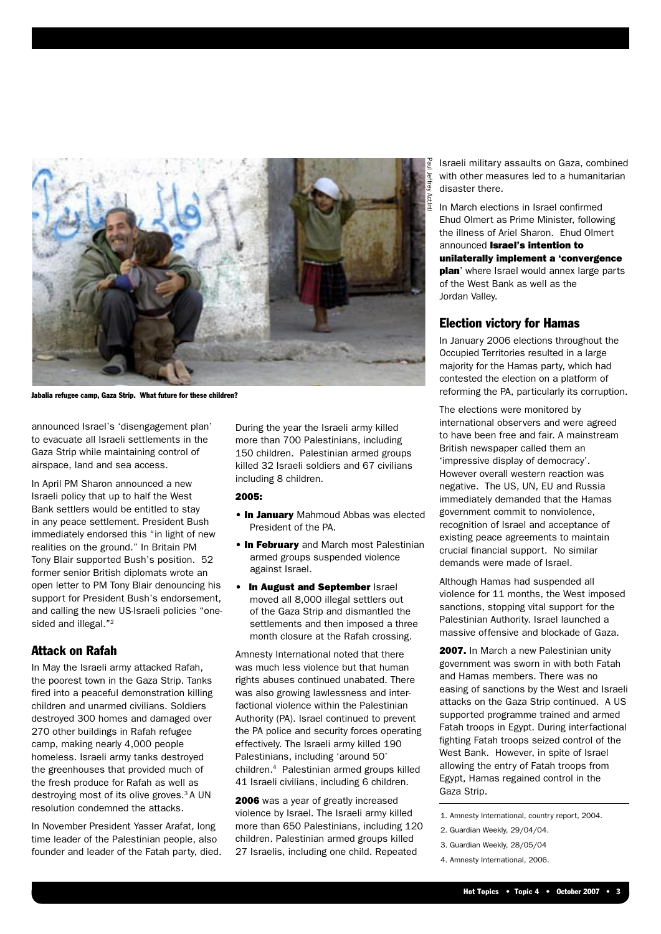

Jabalia refugee camp, Gaza Strip. What future for these children?

announced Israel's 'disengagement plan' to evacuate all Israeli settlements in the Gaza Strip while maintaining control of airspace, land and sea access.

In April PM Sharon announced a new Israeli policy that up to half the West Bank settlers would be entitled to stay in any peace settlement. President Bush immediately endorsed this "in light of new realities on the ground." In Britain PM Tony Blair supported Bush's position. 52 former senior British diplomats wrote an open letter to PM Tony Blair denouncing his support for President Bush's endorsement, and calling the new US-Israeli policies "onesided and illegal."<sup>2</sup>

#### Attack on Rafah

In May the Israeli army attacked Rafah, the poorest town in the Gaza Strip. Tanks fired into a peaceful demonstration killing children and unarmed civilians. Soldiers destroyed 300 homes and damaged over 270 other buildings in Rafah refugee camp, making nearly 4,000 people homeless. Israeli army tanks destroyed the greenhouses that provided much of the fresh produce for Rafah as well as destroying most of its olive groves.<sup>3</sup> A UN resolution condemned the attacks.

In November President Yasser Arafat, long time leader of the Palestinian people, also founder and leader of the Fatah party, died. During the year the Israeli army killed more than 700 Palestinians, including 150 children. Palestinian armed groups killed 32 Israeli soldiers and 67 civilians including 8 children.

#### 2005:

- In January Mahmoud Abbas was elected President of the PA.
- In February and March most Palestinian armed groups suspended violence against Israel.
- In August and September Israel moved all 8,000 illegal settlers out of the Gaza Strip and dismantled the settlements and then imposed a three month closure at the Rafah crossing.

Amnesty International noted that there was much less violence but that human rights abuses continued unabated. There was also growing lawlessness and interfactional violence within the Palestinian Authority (PA). Israel continued to prevent the PA police and security forces operating effectively. The Israeli army killed 190 Palestinians, including 'around 50' children.4 Palestinian armed groups killed 41 Israeli civilians, including 6 children.

2006 was a year of greatly increased violence by Israel. The Israeli army killed more than 650 Palestinians, including 120 children. Palestinian armed groups killed 27 Israelis, including one child. Repeated

Israeli military assaults on Gaza, combined with other measures led to a humanitarian disaster there.

In March elections in Israel confirmed Ehud Olmert as Prime Minister, following the illness of Ariel Sharon. Ehud Olmert announced Israel's intention to unilaterally implement a 'convergence **plan**' where Israel would annex large parts of the West Bank as well as the Jordan Valley.

#### Election victory for Hamas

In January 2006 elections throughout the Occupied Territories resulted in a large majority for the Hamas party, which had contested the election on a platform of reforming the PA, particularly its corruption.

The elections were monitored by international observers and were agreed to have been free and fair. A mainstream British newspaper called them an 'impressive display of democracy'. However overall western reaction was negative. The US, UN, EU and Russia immediately demanded that the Hamas government commit to nonviolence, recognition of Israel and acceptance of existing peace agreements to maintain crucial financial support. No similar demands were made of Israel.

Although Hamas had suspended all violence for 11 months, the West imposed sanctions, stopping vital support for the Palestinian Authority. Israel launched a massive offensive and blockade of Gaza.

2007. In March a new Palestinian unity government was sworn in with both Fatah and Hamas members. There was no easing of sanctions by the West and Israeli attacks on the Gaza Strip continued. A US supported programme trained and armed Fatah troops in Egypt. During interfactional fighting Fatah troops seized control of the West Bank. However, in spite of Israel allowing the entry of Fatah troops from Egypt, Hamas regained control in the Gaza Strip.

- 2. Guardian Weekly, 29/04/04.
- 3. Guardian Weekly, 28/05/04

<sup>1.</sup> Amnesty International, country report, 2004.

<sup>4.</sup> Amnesty International, 2006.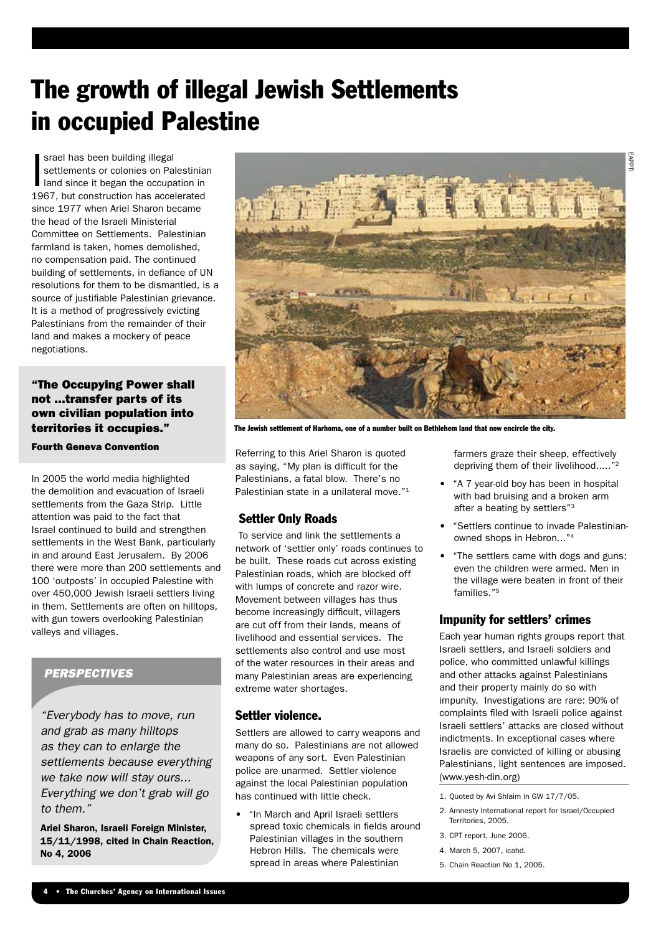## The growth of illegal Jewish Settlements in occupied Palestine

 $\overline{\phantom{a}}$ srael has been building illegal settlements or colonies on Palestinian land since it began the occupation in 1967, but construction has accelerated since 1977 when Ariel Sharon became the head of the Israeli Ministerial Committee on Settlements. Palestinian farmland is taken, homes demolished, no compensation paid. The continued building of settlements, in defiance of UN resolutions for them to be dismantled, is a source of justifiable Palestinian grievance. It is a method of progressively evicting Palestinians from the remainder of their land and makes a mockery of peace negotiations.

#### "The Occupying Power shall not ...transfer parts of its own civilian population into territories it occupies."

Fourth Geneva Convention

In 2005 the world media highlighted the demolition and evacuation of Israeli settlements from the Gaza Strip. Little attention was paid to the fact that Israel continued to build and strengthen settlements in the West Bank, particularly in and around East Jerusalem. By 2006 there were more than 200 settlements and 100 'outposts' in occupied Palestine with over 450,000 Jewish Israeli settlers living in them. Settlements are often on hilltops, with gun towers overlooking Palestinian valleys and villages.

#### **PERSPECTIVES**

"Everybody has to move, run and grab as many hilltops as they can to enlarge the settlements because everything we take now will stay ours... Everything we don't grab will go to them."

Ariel Sharon, Israeli Foreign Minister, 15/11/1998, cited in Chain Reaction, No 4, 2006



The Jewish settlement of Harhoma, one of a number built on Bethlehem land that now encircle the city.

Referring to this Ariel Sharon is quoted as saying, "My plan is difficult for the Palestinians, a fatal blow. There's no Palestinian state in a unilateral move."<sup>1</sup>

#### Settler Only Roads

 To service and link the settlements a network of 'settler only' roads continues to be built. These roads cut across existing Palestinian roads, which are blocked off with lumps of concrete and razor wire. Movement between villages has thus become increasingly difficult, villagers are cut off from their lands, means of livelihood and essential services. The settlements also control and use most of the water resources in their areas and many Palestinian areas are experiencing extreme water shortages.

#### Settler violence.

Settlers are allowed to carry weapons and many do so. Palestinians are not allowed weapons of any sort. Even Palestinian police are unarmed. Settler violence against the local Palestinian population has continued with little check.

• "In March and April Israeli settlers spread toxic chemicals in fields around Palestinian villages in the southern Hebron Hills. The chemicals were spread in areas where Palestinian

farmers graze their sheep, effectively depriving them of their livelihood....."<sup>2</sup>

- "A 7 year-old boy has been in hospital with bad bruising and a broken arm after a beating by settlers"3
- "Settlers continue to invade Palestinianowned shops in Hebron..."4
- "The settlers came with dogs and guns; even the children were armed. Men in the village were beaten in front of their families."<sup>5</sup>

#### Impunity for settlers' crimes

Each year human rights groups report that Israeli settlers, and Israeli soldiers and police, who committed unlawful killings and other attacks against Palestinians and their property mainly do so with impunity. Investigations are rare: 90% of complaints filed with Israeli police against Israeli settlers' attacks are closed without indictments. In exceptional cases where Israelis are convicted of killing or abusing Palestinians, light sentences are imposed. (www.yesh-din.org)

- 1. Quoted by Avi Shlaim in GW 17/7/05.
- 2. Amnesty International report for Israel/Occupied Territories, 2005.
- 3. CPT report, June 2006.
- 4. March 5, 2007, icahd.
- 5. Chain Reaction No 1, 2005.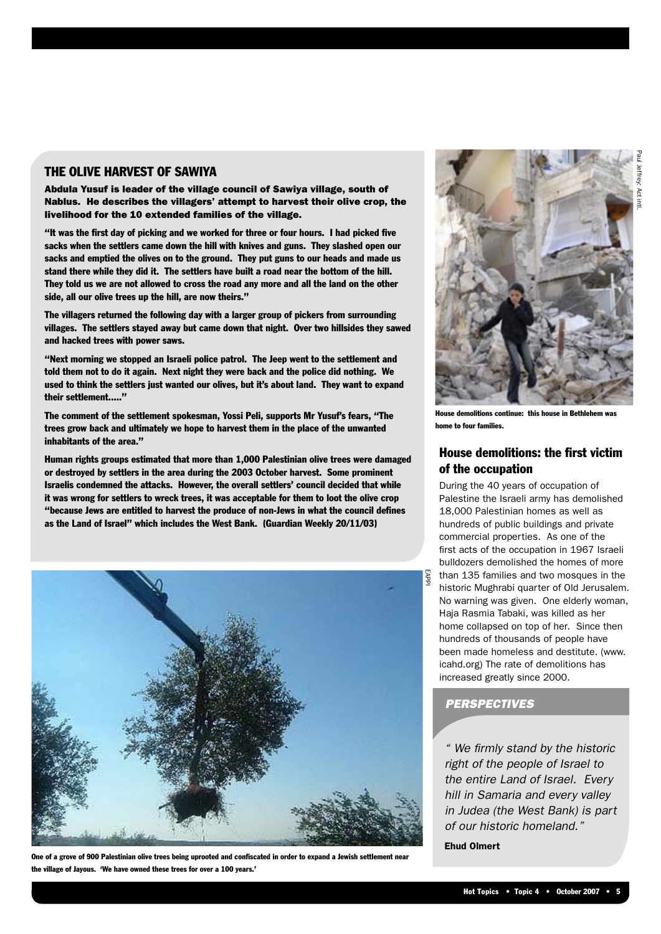#### THE OLIVE HARVEST OF SAWIYA

Abdula Yusuf is leader of the village council of Sawiya village, south of Nablus. He describes the villagers' attempt to harvest their olive crop, the livelihood for the 10 extended families of the village.

"It was the first day of picking and we worked for three or four hours. I had picked five sacks when the settlers came down the hill with knives and guns. They slashed open our sacks and emptied the olives on to the ground. They put guns to our heads and made us stand there while they did it. The settlers have built a road near the bottom of the hill. They told us we are not allowed to cross the road any more and all the land on the other side, all our olive trees up the hill, are now theirs."

The villagers returned the following day with a larger group of pickers from surrounding villages. The settlers stayed away but came down that night. Over two hillsides they sawed and hacked trees with power saws.

"Next morning we stopped an Israeli police patrol. The Jeep went to the settlement and told them not to do it again. Next night they were back and the police did nothing. We used to think the settlers just wanted our olives, but it's about land. They want to expand their settlement....."

The comment of the settlement spokesman, Yossi Peli, supports Mr Yusuf's fears, "The trees grow back and ultimately we hope to harvest them in the place of the unwanted inhabitants of the area."

Human rights groups estimated that more than 1,000 Palestinian olive trees were damaged or destroyed by settlers in the area during the 2003 October harvest. Some prominent Israelis condemned the attacks. However, the overall settlers' council decided that while it was wrong for settlers to wreck trees, it was acceptable for them to loot the olive crop "because Jews are entitled to harvest the produce of non-Jews in what the council defines as the Land of Israel" which includes the West Bank. (Guardian Weekly 20/11/03)



One of a grove of 900 Palestinian olive trees being uprooted and confiscated in order to expand a Jewish settlement near the village of Jayous. 'We have owned these trees for over a 100 years.'



House demolitions continue: this house in Bethlehem was home to four families.

#### House demolitions: the first victim of the occupation

During the 40 years of occupation of Palestine the Israeli army has demolished 18,000 Palestinian homes as well as hundreds of public buildings and private commercial properties. As one of the first acts of the occupation in 1967 Israeli bulldozers demolished the homes of more than 135 families and two mosques in the historic Mughrabi quarter of Old Jerusalem.

No warning was given. One elderly woman, Haja Rasmia Tabaki, was killed as her home collapsed on top of her. Since then hundreds of thousands of people have been made homeless and destitute. (www. icahd.org) The rate of demolitions has increased greatly since 2000.

#### **PERSPECTIVES**

" We firmly stand by the historic right of the people of Israel to the entire Land of Israel. Every hill in Samaria and every valley in Judea (the West Bank) is part of our historic homeland."

Ehud Olmert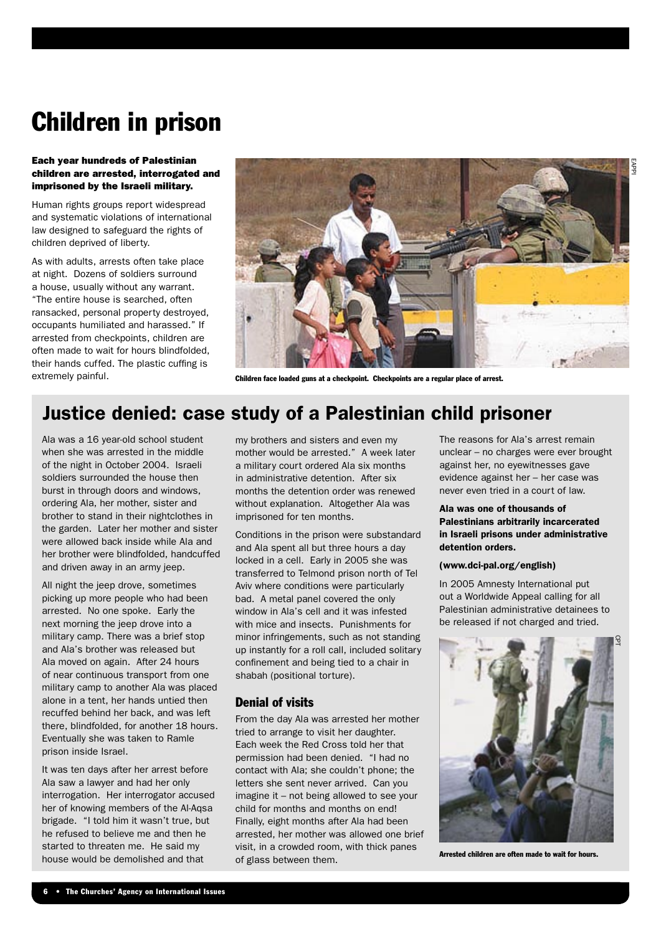### Children in prison

#### Each year hundreds of Palestinian children are arrested, interrogated and imprisoned by the Israeli military.

Human rights groups report widespread and systematic violations of international law designed to safeguard the rights of children deprived of liberty.

As with adults, arrests often take place at night. Dozens of soldiers surround a house, usually without any warrant. "The entire house is searched, often ransacked, personal property destroyed, occupants humiliated and harassed." If arrested from checkpoints, children are often made to wait for hours blindfolded, their hands cuffed. The plastic cuffing is extremely painful.



Children face loaded guns at a checkpoint. Checkpoints are a regular place of arrest.

### Justice denied: case study of a Palestinian child prisoner

Ala was a 16 year-old school student when she was arrested in the middle of the night in October 2004. Israeli soldiers surrounded the house then burst in through doors and windows, ordering Ala, her mother, sister and brother to stand in their nightclothes in the garden. Later her mother and sister were allowed back inside while Ala and her brother were blindfolded, handcuffed and driven away in an army jeep.

All night the jeep drove, sometimes picking up more people who had been arrested. No one spoke. Early the next morning the jeep drove into a military camp. There was a brief stop and Ala's brother was released but Ala moved on again. After 24 hours of near continuous transport from one military camp to another Ala was placed alone in a tent, her hands untied then recuffed behind her back, and was left there, blindfolded, for another 18 hours. Eventually she was taken to Ramle prison inside Israel.

It was ten days after her arrest before Ala saw a lawyer and had her only interrogation. Her interrogator accused her of knowing members of the Al-Aqsa brigade. "I told him it wasn't true, but he refused to believe me and then he started to threaten me. He said my house would be demolished and that

my brothers and sisters and even my mother would be arrested." A week later a military court ordered Ala six months in administrative detention. After six months the detention order was renewed without explanation. Altogether Ala was imprisoned for ten months.

Conditions in the prison were substandard and Ala spent all but three hours a day locked in a cell. Early in 2005 she was transferred to Telmond prison north of Tel Aviv where conditions were particularly bad. A metal panel covered the only window in Ala's cell and it was infested with mice and insects. Punishments for minor infringements, such as not standing up instantly for a roll call, included solitary confinement and being tied to a chair in shabah (positional torture).

#### Denial of visits

From the day Ala was arrested her mother tried to arrange to visit her daughter. Each week the Red Cross told her that permission had been denied. "I had no contact with Ala; she couldn't phone; the letters she sent never arrived. Can you imagine it – not being allowed to see your child for months and months on end! Finally, eight months after Ala had been arrested, her mother was allowed one brief visit, in a crowded room, with thick panes of glass between them.

The reasons for Ala's arrest remain unclear – no charges were ever brought against her, no eyewitnesses gave evidence against her – her case was never even tried in a court of law.

#### Ala was one of thousands of Palestinians arbitrarily incarcerated in Israeli prisons under administrative detention orders.

#### (www.dci-pal.org/english)

In 2005 Amnesty International put out a Worldwide Appeal calling for all Palestinian administrative detainees to be released if not charged and tried.



Arrested children are often made to wait for hours.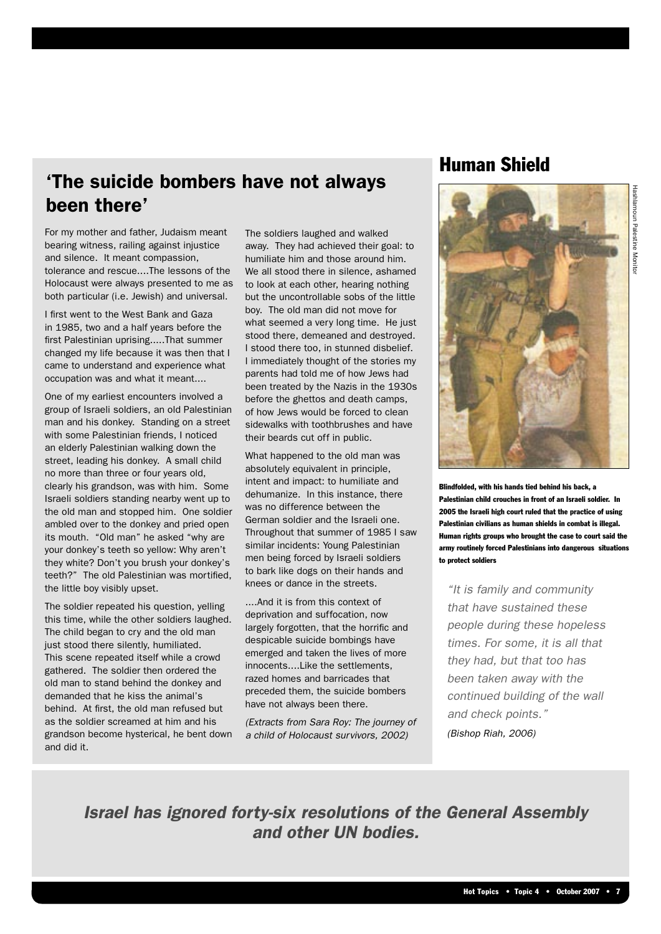### 'The suicide bombers have not always been there'

For my mother and father, Judaism meant bearing witness, railing against injustice and silence. It meant compassion, tolerance and rescue....The lessons of the Holocaust were always presented to me as both particular (i.e. Jewish) and universal.

I first went to the West Bank and Gaza in 1985, two and a half years before the first Palestinian uprising.....That summer changed my life because it was then that I came to understand and experience what occupation was and what it meant....

One of my earliest encounters involved a group of Israeli soldiers, an old Palestinian man and his donkey. Standing on a street with some Palestinian friends, I noticed an elderly Palestinian walking down the street, leading his donkey. A small child no more than three or four years old, clearly his grandson, was with him. Some Israeli soldiers standing nearby went up to the old man and stopped him. One soldier ambled over to the donkey and pried open its mouth. "Old man" he asked "why are your donkey's teeth so yellow: Why aren't they white? Don't you brush your donkey's teeth?" The old Palestinian was mortified, the little boy visibly upset.

The soldier repeated his question, yelling this time, while the other soldiers laughed. The child began to cry and the old man just stood there silently, humiliated. This scene repeated itself while a crowd gathered. The soldier then ordered the old man to stand behind the donkey and demanded that he kiss the animal's behind. At first, the old man refused but as the soldier screamed at him and his grandson become hysterical, he bent down and did it.

The soldiers laughed and walked away. They had achieved their goal: to humiliate him and those around him. We all stood there in silence, ashamed to look at each other, hearing nothing but the uncontrollable sobs of the little boy. The old man did not move for what seemed a very long time. He just stood there, demeaned and destroyed. I stood there too, in stunned disbelief. I immediately thought of the stories my parents had told me of how Jews had been treated by the Nazis in the 1930s before the ghettos and death camps, of how Jews would be forced to clean sidewalks with toothbrushes and have their beards cut off in public.

What happened to the old man was absolutely equivalent in principle, intent and impact: to humiliate and dehumanize. In this instance, there was no difference between the German soldier and the Israeli one. Throughout that summer of 1985 I saw similar incidents: Young Palestinian men being forced by Israeli soldiers to bark like dogs on their hands and knees or dance in the streets.

....And it is from this context of deprivation and suffocation, now largely forgotten, that the horrific and despicable suicide bombings have emerged and taken the lives of more innocents....Like the settlements, razed homes and barricades that preceded them, the suicide bombers have not always been there.

(Extracts from Sara Roy: The journey of a child of Holocaust survivors, 2002)

### Human Shield



Blindfolded, with his hands tied behind his back, a Palestinian child crouches in front of an Israeli soldier. In 2005 the Israeli high court ruled that the practice of using Palestinian civilians as human shields in combat is illegal. Human rights groups who brought the case to court said the army routinely forced Palestinians into dangerous situations to protect soldiers

"It is family and community that have sustained these people during these hopeless times. For some, it is all that they had, but that too has been taken away with the continued building of the wall and check points."

(Bishop Riah, 2006)

Israel has ignored forty-six resolutions of the General Assembly and other UN bodies.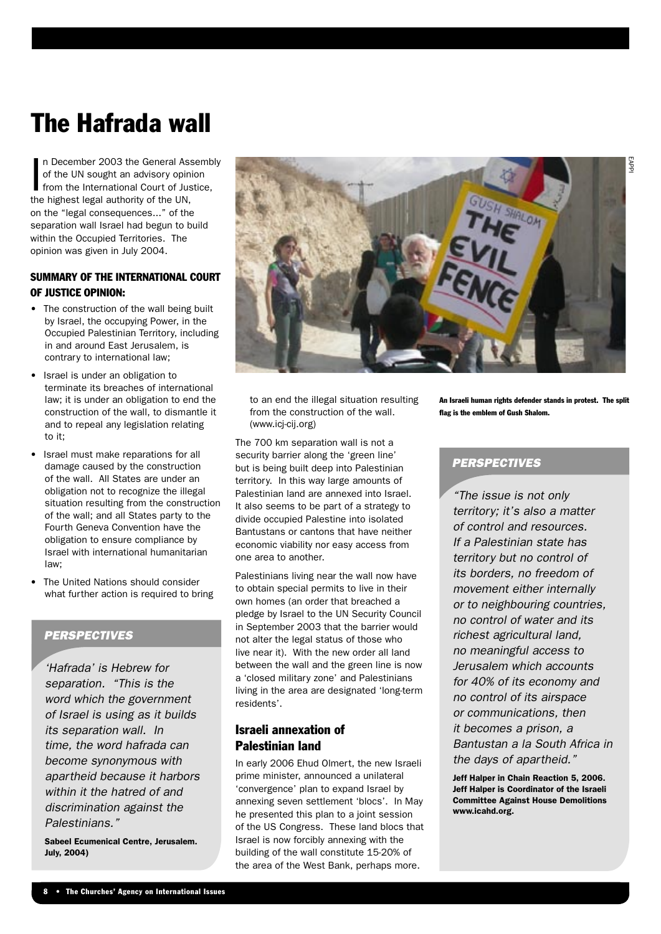## The Hafrada wall

In December 2003 the General Ass<br>of the UN sought an advisory opini<br>from the International Court of Jus<br>the highest legal authority of the UN, n December 2003 the General Assembly of the UN sought an advisory opinion from the International Court of Justice, on the "legal consequences..." of the separation wall Israel had begun to build within the Occupied Territories. The opinion was given in July 2004.

#### SUMMARY OF THE INTERNATIONAL COURT OF JUSTICE OPINION:

- The construction of the wall being built by Israel, the occupying Power, in the Occupied Palestinian Territory, including in and around East Jerusalem, is contrary to international law;
- Israel is under an obligation to terminate its breaches of international law; it is under an obligation to end the construction of the wall, to dismantle it and to repeal any legislation relating to it;
- Israel must make reparations for all damage caused by the construction of the wall. All States are under an obligation not to recognize the illegal situation resulting from the construction of the wall; and all States party to the Fourth Geneva Convention have the obligation to ensure compliance by Israel with international humanitarian law;
- The United Nations should consider what further action is required to bring

#### **PERSPECTIVES**

'Hafrada' is Hebrew for separation. "This is the word which the government of Israel is using as it builds its separation wall. In time, the word hafrada can become synonymous with apartheid because it harbors within it the hatred of and discrimination against the Palestinians."

Sabeel Ecumenical Centre, Jerusalem. July, 2004)



to an end the illegal situation resulting from the construction of the wall. (www.icj-cij.org)

The 700 km separation wall is not a security barrier along the 'green line' but is being built deep into Palestinian territory. In this way large amounts of Palestinian land are annexed into Israel. It also seems to be part of a strategy to divide occupied Palestine into isolated Bantustans or cantons that have neither economic viability nor easy access from one area to another.

Palestinians living near the wall now have to obtain special permits to live in their own homes (an order that breached a pledge by Israel to the UN Security Council in September 2003 that the barrier would not alter the legal status of those who live near it). With the new order all land between the wall and the green line is now a 'closed military zone' and Palestinians living in the area are designated 'long-term residents'.

#### Israeli annexation of Palestinian land

In early 2006 Ehud Olmert, the new Israeli prime minister, announced a unilateral 'convergence' plan to expand Israel by annexing seven settlement 'blocs'. In May he presented this plan to a joint session of the US Congress. These land blocs that Israel is now forcibly annexing with the building of the wall constitute 15-20% of the area of the West Bank, perhaps more.

An Israeli human rights defender stands in protest. The split flag is the emblem of Gush Shalom.

#### **PERSPECTIVES**

"The issue is not only territory; it's also a matter of control and resources. If a Palestinian state has territory but no control of its borders, no freedom of movement either internally or to neighbouring countries, no control of water and its richest agricultural land, no meaningful access to Jerusalem which accounts for 40% of its economy and no control of its airspace or communications, then it becomes a prison, a Bantustan a la South Africa in the days of apartheid."

Jeff Halper in Chain Reaction 5, 2006. Jeff Halper is Coordinator of the Israeli Committee Against House Demolitions www.icahd.org.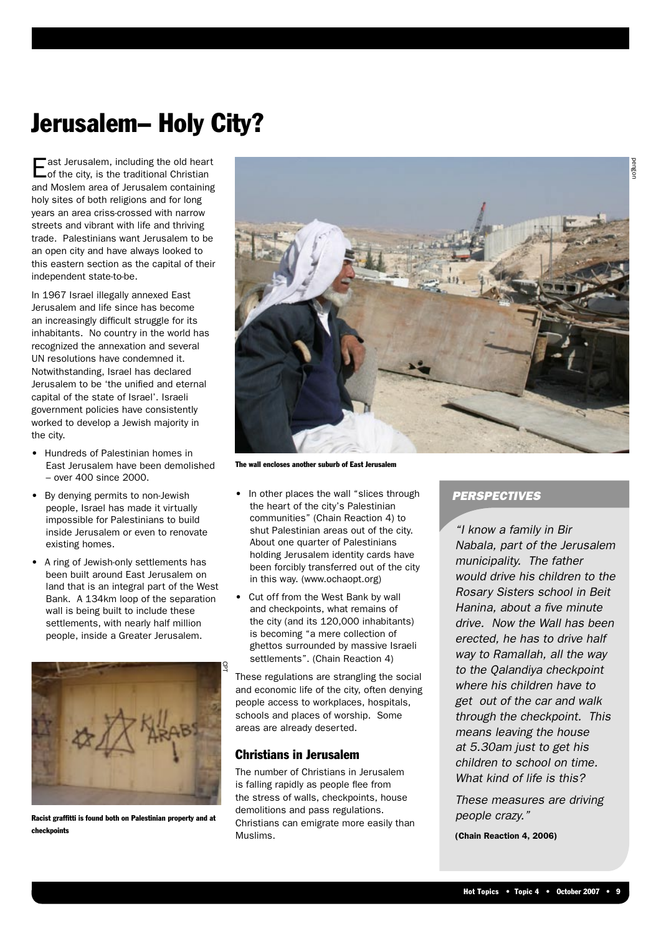### Jerusalem– Holy City?

ast Jerusalem, including the old heart of the city, is the traditional Christian and Moslem area of Jerusalem containing holy sites of both religions and for long years an area criss-crossed with narrow streets and vibrant with life and thriving trade. Palestinians want Jerusalem to be an open city and have always looked to this eastern section as the capital of their independent state-to-be.

In 1967 Israel illegally annexed East Jerusalem and life since has become an increasingly difficult struggle for its inhabitants. No country in the world has recognized the annexation and several UN resolutions have condemned it. Notwithstanding, Israel has declared Jerusalem to be 'the unified and eternal capital of the state of Israel'. Israeli government policies have consistently worked to develop a Jewish majority in the city.

- Hundreds of Palestinian homes in East Jerusalem have been demolished – over 400 since 2000.
- By denying permits to non-Jewish people, Israel has made it virtually impossible for Palestinians to build inside Jerusalem or even to renovate existing homes.
- A ring of Jewish-only settlements has been built around East Jerusalem on land that is an integral part of the West Bank. A 134km loop of the separation wall is being built to include these settlements, with nearly half million people, inside a Greater Jerusalem.



Racist graffitti is found both on Palestinian property and at checkpoints



The wall encloses another suburb of East Jerusalem

- In other places the wall "slices through the heart of the city's Palestinian communities" (Chain Reaction 4) to shut Palestinian areas out of the city. About one quarter of Palestinians holding Jerusalem identity cards have been forcibly transferred out of the city in this way. (www.ochaopt.org)
- Cut off from the West Bank by wall and checkpoints, what remains of the city (and its 120,000 inhabitants) is becoming "a mere collection of ghettos surrounded by massive Israeli settlements". (Chain Reaction 4)

These regulations are strangling the social and economic life of the city, often denying people access to workplaces, hospitals, schools and places of worship. Some areas are already deserted.

#### Christians in Jerusalem

The number of Christians in Jerusalem is falling rapidly as people flee from the stress of walls, checkpoints, house demolitions and pass regulations. Christians can emigrate more easily than Muslims.

#### **PERSPECTIVES**

"I know a family in Bir Nabala, part of the Jerusalem municipality. The father would drive his children to the Rosary Sisters school in Beit Hanina, about a five minute drive. Now the Wall has been erected, he has to drive half way to Ramallah, all the way to the Qalandiya checkpoint where his children have to get out of the car and walk through the checkpoint. This means leaving the house at 5.30am just to get his children to school on time. What kind of life is this?

These measures are driving people crazy."

(Chain Reaction 4, 2006)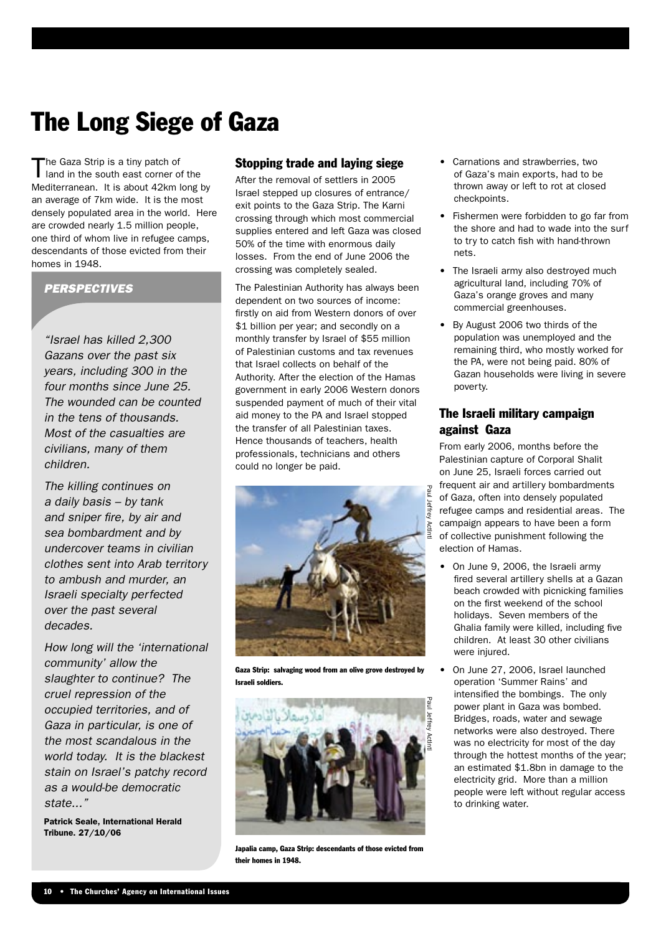## The Long Siege of Gaza

The Gaza Strip is a tiny patch of<br>
land in the south east corner of the Mediterranean. It is about 42km long by an average of 7km wide. It is the most densely populated area in the world. Here are crowded nearly 1.5 million people, one third of whom live in refugee camps, descendants of those evicted from their homes in 1948.

#### **PERSPECTIVES**

"Israel has killed 2,300 Gazans over the past six years, including 300 in the four months since June 25. The wounded can be counted in the tens of thousands. Most of the casualties are civilians, many of them children.

The killing continues on a daily basis – by tank and sniper fire, by air and sea bombardment and by undercover teams in civilian clothes sent into Arab territory to ambush and murder, an Israeli specialty perfected over the past several decades.

How long will the 'international community' allow the slaughter to continue? The cruel repression of the occupied territories, and of Gaza in particular, is one of the most scandalous in the world today. It is the blackest stain on Israel's patchy record as a would-be democratic state..."

Patrick Seale, International Herald Tribune. 27/10/06

#### Stopping trade and laying siege

After the removal of settlers in 2005 Israel stepped up closures of entrance/ exit points to the Gaza Strip. The Karni crossing through which most commercial supplies entered and left Gaza was closed 50% of the time with enormous daily losses. From the end of June 2006 the crossing was completely sealed.

The Palestinian Authority has always been dependent on two sources of income: firstly on aid from Western donors of over \$1 billion per year; and secondly on a monthly transfer by Israel of \$55 million of Palestinian customs and tax revenues that Israel collects on behalf of the Authority. After the election of the Hamas government in early 2006 Western donors suspended payment of much of their vital aid money to the PA and Israel stopped the transfer of all Palestinian taxes. Hence thousands of teachers, health professionals, technicians and others could no longer be paid.



Gaza Strip: salvaging wood from an olive grove destroyed by Israeli soldiers.



Japalia camp, Gaza Strip: descendants of those evicted from their homes in 1948.

- Carnations and strawberries, two of Gaza's main exports, had to be thrown away or left to rot at closed checkpoints.
- Fishermen were forbidden to go far from the shore and had to wade into the surf to try to catch fish with hand-thrown nets.
- The Israeli army also destroyed much agricultural land, including 70% of Gaza's orange groves and many commercial greenhouses.
- By August 2006 two thirds of the population was unemployed and the remaining third, who mostly worked for the PA, were not being paid. 80% of Gazan households were living in severe poverty.

#### The Israeli military campaign against Gaza

From early 2006, months before the Palestinian capture of Corporal Shalit on June 25, Israeli forces carried out frequent air and artillery bombardments of Gaza, often into densely populated refugee camps and residential areas. The campaign appears to have been a form of collective punishment following the election of Hamas.

- On June 9, 2006, the Israeli army fired several artillery shells at a Gazan beach crowded with picnicking families on the first weekend of the school holidays. Seven members of the Ghalia family were killed, including five children. At least 30 other civilians were injured.
- On June 27, 2006, Israel launched operation 'Summer Rains' and intensified the bombings. The only power plant in Gaza was bombed. Bridges, roads, water and sewage networks were also destroyed. There was no electricity for most of the day through the hottest months of the year; an estimated \$1.8bn in damage to the electricity grid. More than a million people were left without regular access to drinking water.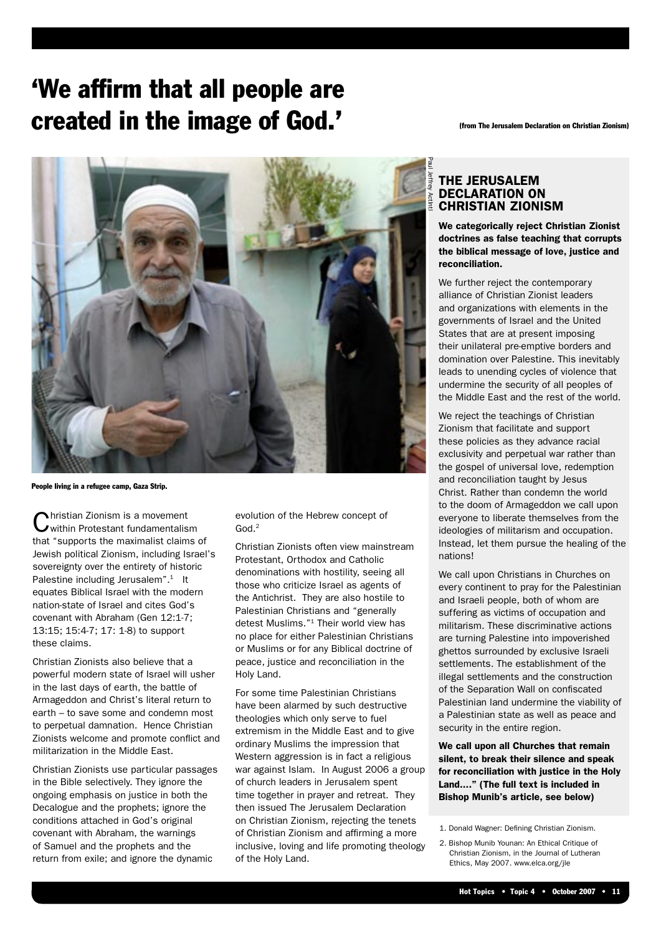### 'We affirm that all people are created in the image of God.' (from The Jerusalem Declaration on Christian Zionism)



People living in a refugee camp, Gaza Strip.

Christian Zionism is a movement within Protestant fundamentalism that "supports the maximalist claims of Jewish political Zionism, including Israel's sovereignty over the entirety of historic Palestine including Jerusalem".<sup>1</sup> It equates Biblical Israel with the modern nation-state of Israel and cites God's covenant with Abraham (Gen 12:1-7; 13:15; 15:4-7; 17: 1-8) to support these claims.

Christian Zionists also believe that a powerful modern state of Israel will usher in the last days of earth, the battle of Armageddon and Christ's literal return to earth – to save some and condemn most to perpetual damnation. Hence Christian Zionists welcome and promote conflict and militarization in the Middle East.

Christian Zionists use particular passages in the Bible selectively. They ignore the ongoing emphasis on justice in both the Decalogue and the prophets; ignore the conditions attached in God's original covenant with Abraham, the warnings of Samuel and the prophets and the return from exile; and ignore the dynamic

evolution of the Hebrew concept of  $God<sup>2</sup>$ 

Christian Zionists often view mainstream Protestant, Orthodox and Catholic denominations with hostility, seeing all those who criticize Israel as agents of the Antichrist. They are also hostile to Palestinian Christians and "generally detest Muslims."1 Their world view has no place for either Palestinian Christians or Muslims or for any Biblical doctrine of peace, justice and reconciliation in the Holy Land.

For some time Palestinian Christians have been alarmed by such destructive theologies which only serve to fuel extremism in the Middle East and to give ordinary Muslims the impression that Western aggression is in fact a religious war against Islam. In August 2006 a group of church leaders in Jerusalem spent time together in prayer and retreat. They then issued The Jerusalem Declaration on Christian Zionism, rejecting the tenets of Christian Zionism and affirming a more inclusive, loving and life promoting theology of the Holy Land.

#### THE JERUSALEM DECLARATION ON CHRISTIAN ZIONISM

We categorically reject Christian Zionist doctrines as false teaching that corrupts the biblical message of love, justice and reconciliation.

We further reject the contemporary alliance of Christian Zionist leaders and organizations with elements in the governments of Israel and the United States that are at present imposing their unilateral pre-emptive borders and domination over Palestine. This inevitably leads to unending cycles of violence that undermine the security of all peoples of the Middle East and the rest of the world.

We reject the teachings of Christian Zionism that facilitate and support these policies as they advance racial exclusivity and perpetual war rather than the gospel of universal love, redemption and reconciliation taught by Jesus Christ. Rather than condemn the world to the doom of Armageddon we call upon everyone to liberate themselves from the ideologies of militarism and occupation. Instead, let them pursue the healing of the nations!

We call upon Christians in Churches on every continent to pray for the Palestinian and Israeli people, both of whom are suffering as victims of occupation and militarism. These discriminative actions are turning Palestine into impoverished ghettos surrounded by exclusive Israeli settlements. The establishment of the illegal settlements and the construction of the Separation Wall on confiscated Palestinian land undermine the viability of a Palestinian state as well as peace and security in the entire region.

We call upon all Churches that remain silent, to break their silence and speak for reconciliation with justice in the Holy Land...." (The full text is included in Bishop Munib's article, see below)

<sup>1.</sup> Donald Wagner: Defining Christian Zionism.

<sup>2.</sup> Bishop Munib Younan: An Ethical Critique of Christian Zionism, in the Journal of Lutheran Ethics, May 2007. www.elca.org/jle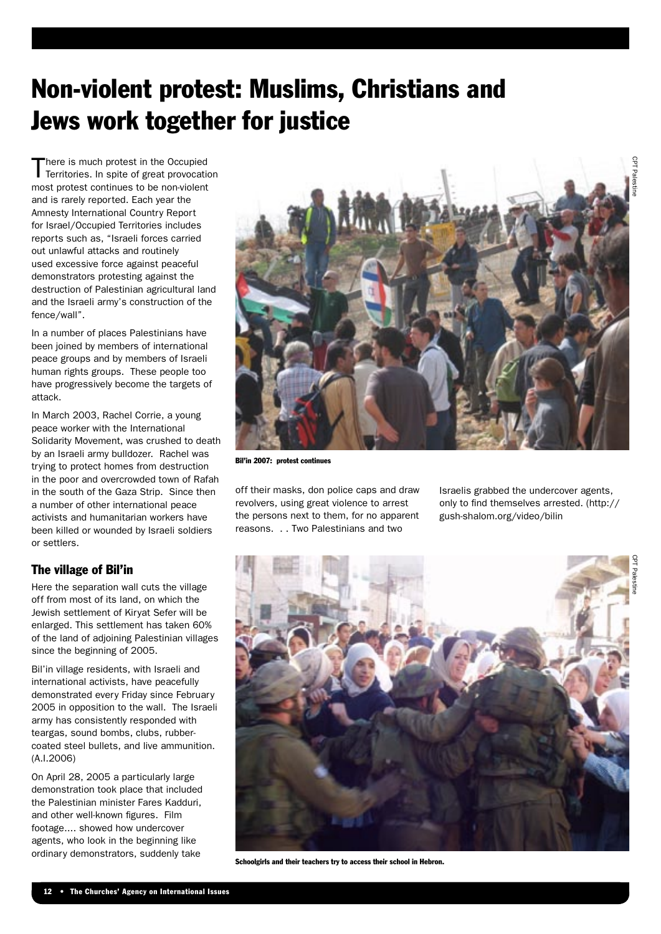## Non-violent protest: Muslims, Christians and Jews work together for justice

There is much protest in the Occupied<br>Territories. In spite of great provocation most protest continues to be non-violent and is rarely reported. Each year the Amnesty International Country Report for Israel/Occupied Territories includes reports such as, "Israeli forces carried out unlawful attacks and routinely used excessive force against peaceful demonstrators protesting against the destruction of Palestinian agricultural land and the Israeli army's construction of the fence/wall".

In a number of places Palestinians have been joined by members of international peace groups and by members of Israeli human rights groups. These people too have progressively become the targets of attack.

In March 2003, Rachel Corrie, a young peace worker with the International Solidarity Movement, was crushed to death by an Israeli army bulldozer. Rachel was trying to protect homes from destruction in the poor and overcrowded town of Rafah in the south of the Gaza Strip. Since then a number of other international peace activists and humanitarian workers have been killed or wounded by Israeli soldiers or settlers.

#### The village of Bil'in

Here the separation wall cuts the village off from most of its land, on which the Jewish settlement of Kiryat Sefer will be enlarged. This settlement has taken 60% of the land of adjoining Palestinian villages since the beginning of 2005.

Bil'in village residents, with Israeli and international activists, have peacefully demonstrated every Friday since February 2005 in opposition to the wall. The Israeli army has consistently responded with teargas, sound bombs, clubs, rubbercoated steel bullets, and live ammunition. (A.I.2006)

On April 28, 2005 a particularly large demonstration took place that included the Palestinian minister Fares Kadduri, and other well-known figures. Film footage.... showed how undercover agents, who look in the beginning like ordinary demonstrators, suddenly take



Bil'in 2007: protest continues

off their masks, don police caps and draw revolvers, using great violence to arrest the persons next to them, for no apparent reasons. . . Two Palestinians and two

Israelis grabbed the undercover agents, only to find themselves arrested. (http:// gush-shalom.org/video/bilin



Schoolgirls and their teachers try to access their school in Hebron.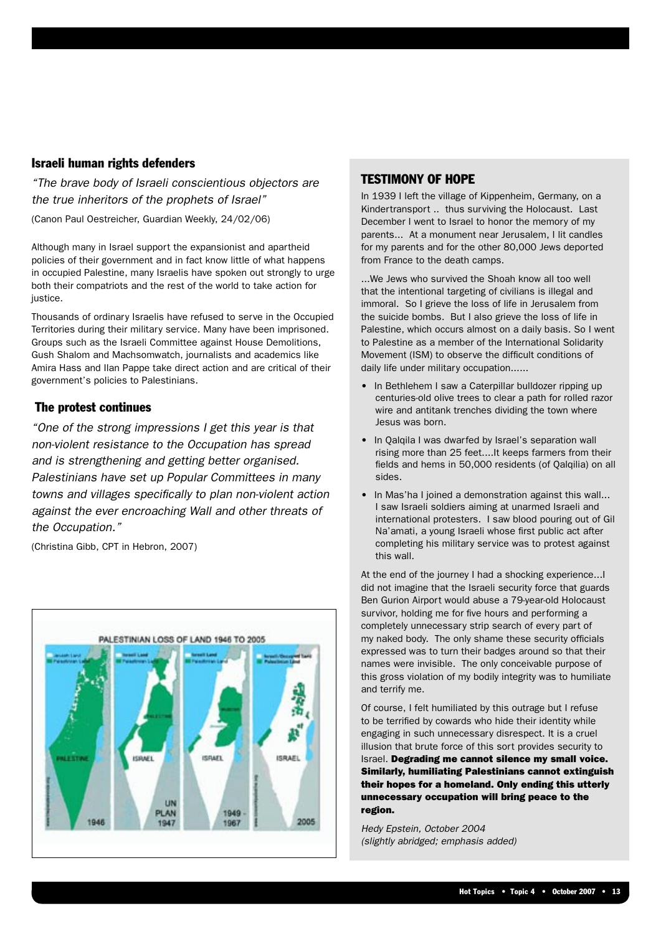#### Israeli human rights defenders

"The brave body of Israeli conscientious objectors are the true inheritors of the prophets of Israel" (Canon Paul Oestreicher, Guardian Weekly, 24/02/06)

Although many in Israel support the expansionist and apartheid policies of their government and in fact know little of what happens in occupied Palestine, many Israelis have spoken out strongly to urge both their compatriots and the rest of the world to take action for justice.

Thousands of ordinary Israelis have refused to serve in the Occupied Territories during their military service. Many have been imprisoned. Groups such as the Israeli Committee against House Demolitions, Gush Shalom and Machsomwatch, journalists and academics like Amira Hass and Ilan Pappe take direct action and are critical of their government's policies to Palestinians.

#### The protest continues

"One of the strong impressions I get this year is that non-violent resistance to the Occupation has spread and is strengthening and getting better organised. Palestinians have set up Popular Committees in many towns and villages specifically to plan non-violent action against the ever encroaching Wall and other threats of the Occupation."

(Christina Gibb, CPT in Hebron, 2007)



#### TESTIMONY OF HOPE

In 1939 I left the village of Kippenheim, Germany, on a Kindertransport .. thus surviving the Holocaust. Last December I went to Israel to honor the memory of my parents... At a monument near Jerusalem, I lit candles for my parents and for the other 80,000 Jews deported from France to the death camps.

...We Jews who survived the Shoah know all too well that the intentional targeting of civilians is illegal and immoral. So I grieve the loss of life in Jerusalem from the suicide bombs. But I also grieve the loss of life in Palestine, which occurs almost on a daily basis. So I went to Palestine as a member of the International Solidarity Movement (ISM) to observe the difficult conditions of daily life under military occupation......

- In Bethlehem I saw a Caterpillar bulldozer ripping up centuries-old olive trees to clear a path for rolled razor wire and antitank trenches dividing the town where Jesus was born.
- In Qalqila I was dwarfed by Israel's separation wall rising more than 25 feet....It keeps farmers from their fields and hems in 50,000 residents (of Qalqilia) on all sides.
- In Mas'ha I joined a demonstration against this wall... I saw Israeli soldiers aiming at unarmed Israeli and international protesters. I saw blood pouring out of Gil Na'amati, a young Israeli whose first public act after completing his military service was to protest against this wall.

At the end of the journey I had a shocking experience...I did not imagine that the Israeli security force that guards Ben Gurion Airport would abuse a 79-year-old Holocaust survivor, holding me for five hours and performing a completely unnecessary strip search of every part of my naked body. The only shame these security officials expressed was to turn their badges around so that their names were invisible. The only conceivable purpose of this gross violation of my bodily integrity was to humiliate and terrify me.

Of course, I felt humiliated by this outrage but I refuse to be terrified by cowards who hide their identity while engaging in such unnecessary disrespect. It is a cruel illusion that brute force of this sort provides security to Israel. Degrading me cannot silence my small voice. Similarly, humiliating Palestinians cannot extinguish their hopes for a homeland. Only ending this utterly unnecessary occupation will bring peace to the region.

Hedy Epstein, October 2004 (slightly abridged; emphasis added)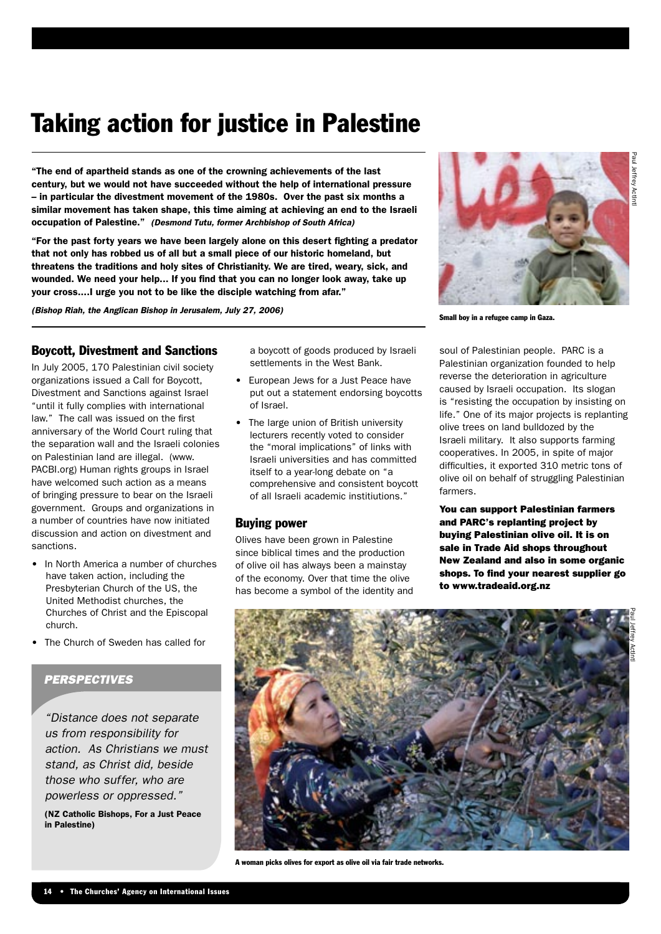### Taking action for justice in Palestine

"The end of apartheid stands as one of the crowning achievements of the last century, but we would not have succeeded without the help of international pressure – in particular the divestment movement of the 1980s. Over the past six months a similar movement has taken shape, this time aiming at achieving an end to the Israeli occupation of Palestine." (Desmond Tutu, former Archbishop of South Africa)

"For the past forty years we have been largely alone on this desert fighting a predator that not only has robbed us of all but a small piece of our historic homeland, but threatens the traditions and holy sites of Christianity. We are tired, weary, sick, and wounded. We need your help... If you find that you can no longer look away, take up your cross....I urge you not to be like the disciple watching from afar."

(Bishop Riah, the Anglican Bishop in Jerusalem, July 27, 2006)

#### Boycott, Divestment and Sanctions

In July 2005, 170 Palestinian civil society organizations issued a Call for Boycott, Divestment and Sanctions against Israel "until it fully complies with international law." The call was issued on the first anniversary of the World Court ruling that the separation wall and the Israeli colonies on Palestinian land are illegal. (www. PACBI.org) Human rights groups in Israel have welcomed such action as a means of bringing pressure to bear on the Israeli government. Groups and organizations in a number of countries have now initiated discussion and action on divestment and sanctions.

- In North America a number of churches have taken action, including the Presbyterian Church of the US, the United Methodist churches, the Churches of Christ and the Episcopal church.
- The Church of Sweden has called for

#### **PERSPECTIVES**

"Distance does not separate us from responsibility for action. As Christians we must stand, as Christ did, beside those who suffer, who are powerless or oppressed."

(NZ Catholic Bishops, For a Just Peace in Palestine)

a boycott of goods produced by Israeli settlements in the West Bank.

- European Jews for a Just Peace have put out a statement endorsing boycotts of Israel.
- The large union of British university lecturers recently voted to consider the "moral implications" of links with Israeli universities and has committed itself to a year-long debate on "a comprehensive and consistent boycott of all Israeli academic institiutions."

#### Buying power

Olives have been grown in Palestine since biblical times and the production of olive oil has always been a mainstay of the economy. Over that time the olive has become a symbol of the identity and



Small boy in a refugee camp in Gaza.

soul of Palestinian people. PARC is a Palestinian organization founded to help reverse the deterioration in agriculture caused by Israeli occupation. Its slogan is "resisting the occupation by insisting on life." One of its major projects is replanting olive trees on land bulldozed by the Israeli military. It also supports farming cooperatives. In 2005, in spite of major difficulties, it exported 310 metric tons of olive oil on behalf of struggling Palestinian farmers.

You can support Palestinian farmers and PARC's replanting project by buying Palestinian olive oil. It is on sale in Trade Aid shops throughout New Zealand and also in some organic shops. To find your nearest supplier go to www.tradeaid.org.nz



A woman picks olives for export as olive oil via fair trade networks.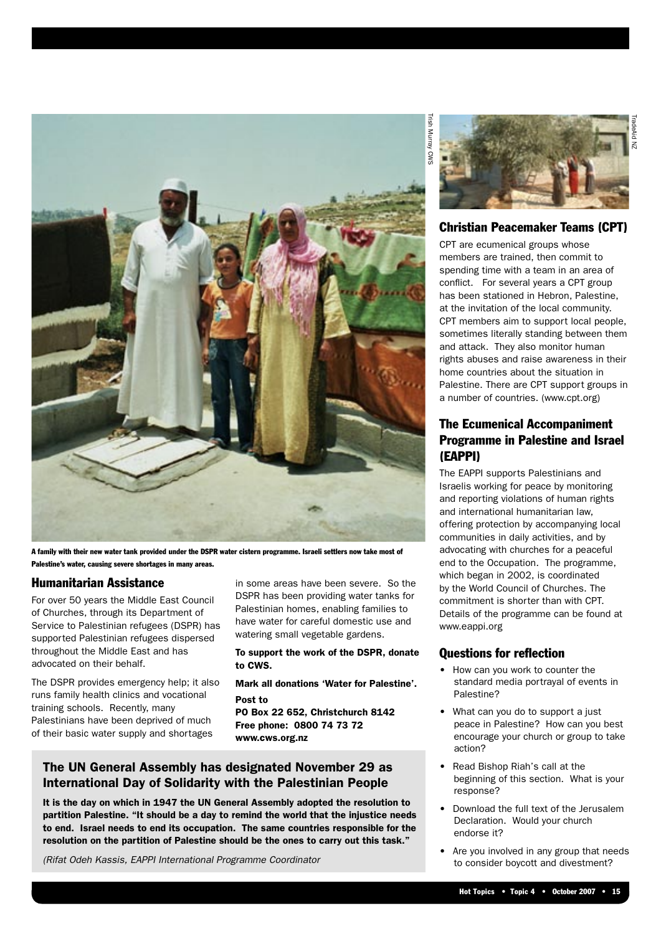

A family with their new water tank provided under the DSPR water cistern programme. Israeli settlers now take most of Palestine's water, causing severe shortages in many areas.

#### Humanitarian Assistance

For over 50 years the Middle East Council of Churches, through its Department of Service to Palestinian refugees (DSPR) has supported Palestinian refugees dispersed throughout the Middle East and has advocated on their behalf.

The DSPR provides emergency help; it also runs family health clinics and vocational training schools. Recently, many Palestinians have been deprived of much of their basic water supply and shortages

in some areas have been severe. So the DSPR has been providing water tanks for Palestinian homes, enabling families to have water for careful domestic use and watering small vegetable gardens.

To support the work of the DSPR, donate to CWS.

Mark all donations 'Water for Palestine'. Post to

PO Box 22 652, Christchurch 8142 Free phone: 0800 74 73 72 www.cws.org.nz

#### The UN General Assembly has designated November 29 as International Day of Solidarity with the Palestinian People

It is the day on which in 1947 the UN General Assembly adopted the resolution to partition Palestine. "It should be a day to remind the world that the injustice needs to end. Israel needs to end its occupation. The same countries responsible for the resolution on the partition of Palestine should be the ones to carry out this task."

(Rifat Odeh Kassis, EAPPI International Programme Coordinator



#### Christian Peacemaker Teams (CPT)

CPT are ecumenical groups whose members are trained, then commit to spending time with a team in an area of conflict. For several years a CPT group has been stationed in Hebron, Palestine, at the invitation of the local community. CPT members aim to support local people, sometimes literally standing between them and attack. They also monitor human rights abuses and raise awareness in their home countries about the situation in Palestine. There are CPT support groups in a number of countries. (www.cpt.org)

#### The Ecumenical Accompaniment Programme in Palestine and Israel (EAPPI)

The EAPPI supports Palestinians and Israelis working for peace by monitoring and reporting violations of human rights and international humanitarian law, offering protection by accompanying local communities in daily activities, and by advocating with churches for a peaceful end to the Occupation. The programme, which began in 2002, is coordinated by the World Council of Churches. The commitment is shorter than with CPT. Details of the programme can be found at www.eappi.org

#### Questions for reflection

- How can you work to counter the standard media portrayal of events in Palestine?
- What can you do to support a just peace in Palestine? How can you best encourage your church or group to take action?
- Read Bishop Riah's call at the beginning of this section. What is your response?
- Download the full text of the Jerusalem Declaration. Would your church endorse it?
- Are you involved in any group that needs to consider boycott and divestment?